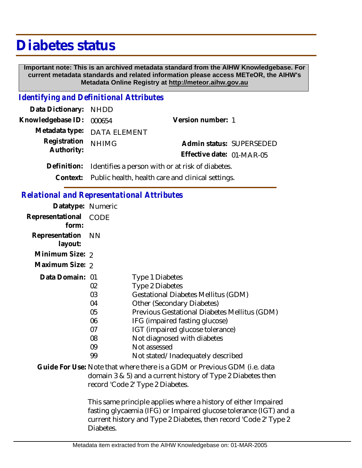# **Diabetes status**

 **Important note: This is an archived metadata standard from the AIHW Knowledgebase. For current metadata standards and related information please access METeOR, the AIHW's Metadata Online Registry at http://meteor.aihw.gov.au**

## *Identifying and Definitional Attributes*

| Data Dictionary: NHDD    |                                                            |                           |  |
|--------------------------|------------------------------------------------------------|---------------------------|--|
| Knowledgebase ID: 000654 |                                                            | Version number: 1         |  |
|                          | Metadata type: DATA ELEMENT                                |                           |  |
| Registration             | <b>NHIMG</b>                                               | Admin status: SUPERSEDED  |  |
| Authority:               |                                                            | Effective date: 01-MAR-05 |  |
| Definition:              | Identifies a person with or at risk of diabetes.           |                           |  |
|                          | Context: Public health, health care and clinical settings. |                           |  |

*Relational and Representational Attributes*

| <u>bid chanding in the boundary near bacted</u> |    |                                                                           |
|-------------------------------------------------|----|---------------------------------------------------------------------------|
| Datatype: Numeric                               |    |                                                                           |
| Representational CODE<br>form:                  |    |                                                                           |
| Representation NN<br>layout:                    |    |                                                                           |
| Minimum Size: 2                                 |    |                                                                           |
| Maximum Size: 2                                 |    |                                                                           |
| Data Domain: 01                                 |    | Type 1 Diabetes                                                           |
|                                                 | 02 | Type 2 Diabetes                                                           |
|                                                 | 03 | <b>Gestational Diabetes Mellitus (GDM)</b>                                |
|                                                 | 04 | Other (Secondary Diabetes)                                                |
|                                                 | 05 | Previous Gestational Diabetes Mellitus (GDM)                              |
|                                                 | 06 | IFG (impaired fasting glucose)                                            |
|                                                 | 07 | IGT (impaired glucose tolerance)                                          |
|                                                 | 08 | Not diagnosed with diabetes                                               |
|                                                 | 09 | Not assessed                                                              |
|                                                 | 99 | Not stated/Inadequately described                                         |
|                                                 |    | Cuide For Llse: Note that where there is a CDM or Previous CDM (i.e. data |

### Guide For Use: Note that where there is a GDM or Previous GDM (i.e. data domain 3 & 5) and a current history of Type 2 Diabetes then record 'Code 2' Type 2 Diabetes.

This same principle applies where a history of either Impaired fasting glycaemia (IFG) or Impaired glucose tolerance (IGT) and a current history and Type 2 Diabetes, then record 'Code 2' Type 2 Diabetes.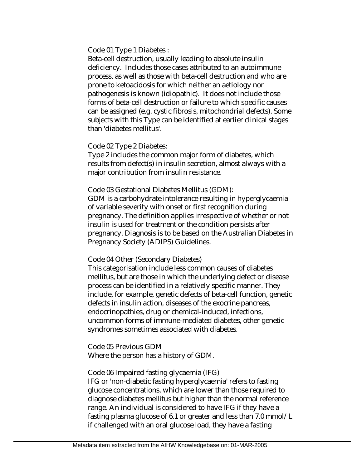Code 01 Type 1 Diabetes :

Beta-cell destruction, usually leading to absolute insulin deficiency. Includes those cases attributed to an autoimmune process, as well as those with beta-cell destruction and who are prone to ketoacidosis for which neither an aetiology nor pathogenesis is known (idiopathic). It does not include those forms of beta-cell destruction or failure to which specific causes can be assigned (e.g. cystic fibrosis, mitochondrial defects). Some subjects with this Type can be identified at earlier clinical stages than 'diabetes mellitus'.

#### Code 02 Type 2 Diabetes:

Type 2 includes the common major form of diabetes, which results from defect(s) in insulin secretion, almost always with a major contribution from insulin resistance.

#### Code 03 Gestational Diabetes Mellitus (GDM):

GDM is a carbohydrate intolerance resulting in hyperglycaemia of variable severity with onset or first recognition during pregnancy. The definition applies irrespective of whether or not insulin is used for treatment or the condition persists after pregnancy. Diagnosis is to be based on the Australian Diabetes in Pregnancy Society (ADIPS) Guidelines.

#### Code 04 Other (Secondary Diabetes)

This categorisation include less common causes of diabetes mellitus, but are those in which the underlying defect or disease process can be identified in a relatively specific manner. They include, for example, genetic defects of beta-cell function, genetic defects in insulin action, diseases of the exocrine pancreas, endocrinopathies, drug or chemical-induced, infections, uncommon forms of immune-mediated diabetes, other genetic syndromes sometimes associated with diabetes.

Code 05 Previous GDM Where the person has a history of GDM.

#### Code 06 Impaired fasting glycaemia (IFG)

IFG or 'non-diabetic fasting hyperglycaemia' refers to fasting glucose concentrations, which are lower than those required to diagnose diabetes mellitus but higher than the normal reference range. An individual is considered to have IFG if they have a fasting plasma glucose of 6.1 or greater and less than 7.0 mmol/L if challenged with an oral glucose load, they have a fasting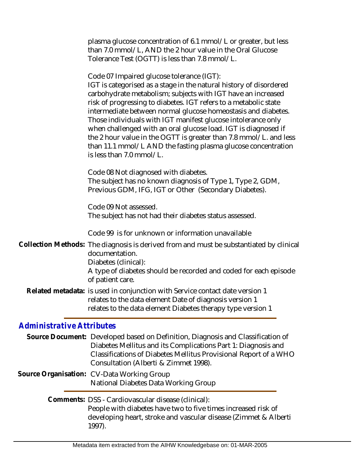| plasma glucose concentration of 6.1 mmol/L or greater, but less |
|-----------------------------------------------------------------|
| than 7.0 mmol/L, AND the 2 hour value in the Oral Glucose       |
| Tolerance Test (OGTT) is less than 7.8 mmol/L.                  |

Code 07 Impaired glucose tolerance (IGT): IGT is categorised as a stage in the natural history of disordered carbohydrate metabolism; subjects with IGT have an increased risk of progressing to diabetes. IGT refers to a metabolic state intermediate between normal glucose homeostasis and diabetes. Those individuals with IGT manifest glucose intolerance only when challenged with an oral glucose load. IGT is diagnosed if the 2 hour value in the OGTT is greater than 7.8 mmol/L. and less than 11.1 mmol/L AND the fasting plasma glucose concentration is less than 7.0 mmol/L.

Code 08 Not diagnosed with diabetes. The subject has no known diagnosis of Type 1, Type 2, GDM, Previous GDM, IFG, IGT or Other (Secondary Diabetes).

Code 09 Not assessed. The subject has not had their diabetes status assessed.

Code 99 is for unknown or information unavailable

Collection Methods: The diagnosis is derived from and must be substantiated by clinical documentation. Diabetes (clinical): A type of diabetes should be recorded and coded for each episode of patient care.

Related metadata: is used in conjunction with Service contact date version 1 relates to the data element Date of diagnosis version 1 relates to the data element Diabetes therapy type version 1

# *Administrative Attributes*

Source Document: Developed based on Definition, Diagnosis and Classification of Diabetes Mellitus and its Complications Part 1: Diagnosis and Classifications of Diabetes Mellitus Provisional Report of a WHO Consultation (Alberti & Zimmet 1998).

Source Organisation: CV-Data Working Group National Diabetes Data Working Group

> Comments: DSS - Cardiovascular disease (clinical): People with diabetes have two to five times increased risk of developing heart, stroke and vascular disease (Zimmet & Alberti 1997).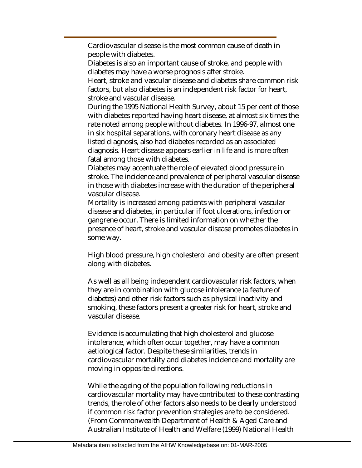Cardiovascular disease is the most common cause of death in people with diabetes.

Diabetes is also an important cause of stroke, and people with diabetes may have a worse prognosis after stroke.

Heart, stroke and vascular disease and diabetes share common risk factors, but also diabetes is an independent risk factor for heart, stroke and vascular disease.

During the 1995 National Health Survey, about 15 per cent of those with diabetes reported having heart disease, at almost six times the rate noted among people without diabetes. In 1996-97, almost one in six hospital separations, with coronary heart disease as any listed diagnosis, also had diabetes recorded as an associated diagnosis. Heart disease appears earlier in life and is more often fatal among those with diabetes.

Diabetes may accentuate the role of elevated blood pressure in stroke. The incidence and prevalence of peripheral vascular disease in those with diabetes increase with the duration of the peripheral vascular disease.

Mortality is increased among patients with peripheral vascular disease and diabetes, in particular if foot ulcerations, infection or gangrene occur. There is limited information on whether the presence of heart, stroke and vascular disease promotes diabetes in some way.

High blood pressure, high cholesterol and obesity are often present along with diabetes.

As well as all being independent cardiovascular risk factors, when they are in combination with glucose intolerance (a feature of diabetes) and other risk factors such as physical inactivity and smoking, these factors present a greater risk for heart, stroke and vascular disease.

Evidence is accumulating that high cholesterol and glucose intolerance, which often occur together, may have a common aetiological factor. Despite these similarities, trends in cardiovascular mortality and diabetes incidence and mortality are moving in opposite directions.

While the ageing of the population following reductions in cardiovascular mortality may have contributed to these contrasting trends, the role of other factors also needs to be clearly understood if common risk factor prevention strategies are to be considered. (From Commonwealth Department of Health & Aged Care and Australian Institute of Health and Welfare (1999) National Health